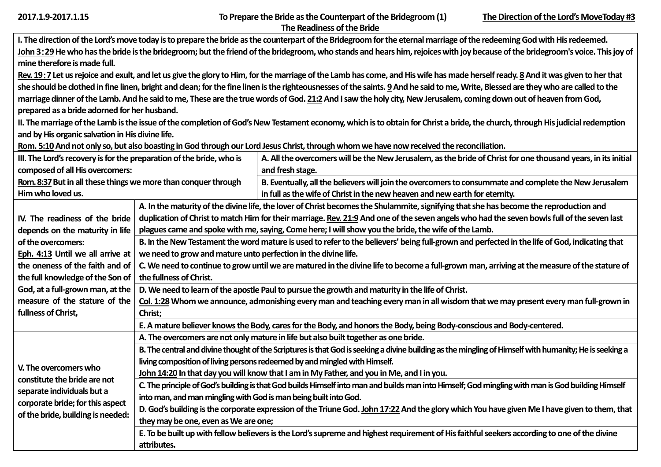| 2017.1.9-2017.1.15 |  |  |  |
|--------------------|--|--|--|
|--------------------|--|--|--|

|                                                                                                                                                                                    | I. The direction of the Lord's move today is to prepare the bride as the counterpart of the Bridegroom for the eternal marriage of the redeeming God with His redeemed. |                                                                                                                                                                                  |  |  |
|------------------------------------------------------------------------------------------------------------------------------------------------------------------------------------|-------------------------------------------------------------------------------------------------------------------------------------------------------------------------|----------------------------------------------------------------------------------------------------------------------------------------------------------------------------------|--|--|
| John 3:29 He who has the bride is the bridegroom; but the friend of the bridegroom, who stands and hears him, rejoices with joy because of the bridegroom's voice. This joy of     |                                                                                                                                                                         |                                                                                                                                                                                  |  |  |
| mine therefore is made full.                                                                                                                                                       |                                                                                                                                                                         |                                                                                                                                                                                  |  |  |
|                                                                                                                                                                                    |                                                                                                                                                                         | Rev. 19:7 Let us rejoice and exult, and let us give the glory to Him, for the marriage of the Lamb has come, and His wife has made herself ready. 8 And it was given to her that |  |  |
| she should be clothed in fine linen, bright and clean; for the fine linen is the righteousnesses of the saints. 9 And he said to me, Write, Blessed are they who are called to the |                                                                                                                                                                         |                                                                                                                                                                                  |  |  |
| marriage dinner of the Lamb. And he said to me, These are the true words of God. 21:2 And I saw the holy city, New Jerusalem, coming down out of heaven from God,                  |                                                                                                                                                                         |                                                                                                                                                                                  |  |  |
| prepared as a bride adorned for her husband.                                                                                                                                       |                                                                                                                                                                         |                                                                                                                                                                                  |  |  |
|                                                                                                                                                                                    |                                                                                                                                                                         | II. The marriage of the Lamb is the issue of the completion of God's New Testament economy, which is to obtain for Christ a bride, the church, through His judicial redemption   |  |  |
| and by His organic salvation in His divine life.                                                                                                                                   |                                                                                                                                                                         |                                                                                                                                                                                  |  |  |
|                                                                                                                                                                                    |                                                                                                                                                                         | Rom. 5:10 And not only so, but also boasting in God through our Lord Jesus Christ, through whom we have now received the reconciliation.                                         |  |  |
| III. The Lord's recovery is for the preparation of the bride, who is                                                                                                               |                                                                                                                                                                         | A. All the overcomers will be the New Jerusalem, as the bride of Christ for one thousand years, in its initial                                                                   |  |  |
| composed of all His overcomers:                                                                                                                                                    |                                                                                                                                                                         | and fresh stage.                                                                                                                                                                 |  |  |
| Rom. 8:37 But in all these things we more than conquer through                                                                                                                     |                                                                                                                                                                         | B. Eventually, all the believers will join the overcomers to consummate and complete the New Jerusalem                                                                           |  |  |
| Him who loved us.                                                                                                                                                                  |                                                                                                                                                                         | in full as the wife of Christ in the new heaven and new earth for eternity.                                                                                                      |  |  |
|                                                                                                                                                                                    |                                                                                                                                                                         | A. In the maturity of the divine life, the lover of Christ becomes the Shulammite, signifying that she has become the reproduction and                                           |  |  |
| IV. The readiness of the bride                                                                                                                                                     |                                                                                                                                                                         | duplication of Christ to match Him for their marriage. Rev. 21:9 And one of the seven angels who had the seven bowls full of the seven last                                      |  |  |
| depends on the maturity in life                                                                                                                                                    |                                                                                                                                                                         | plagues came and spoke with me, saying, Come here; I will show you the bride, the wife of the Lamb.                                                                              |  |  |
| of the overcomers:                                                                                                                                                                 | B. In the New Testament the word mature is used to refer to the believers' being full-grown and perfected in the life of God, indicating that                           |                                                                                                                                                                                  |  |  |
| Eph. 4:13 Until we all arrive at                                                                                                                                                   | we need to grow and mature unto perfection in the divine life.                                                                                                          |                                                                                                                                                                                  |  |  |
| the oneness of the faith and of                                                                                                                                                    |                                                                                                                                                                         | C. We need to continue to grow until we are matured in the divine life to become a full-grown man, arriving at the measure of the stature of                                     |  |  |
| the full knowledge of the Son of                                                                                                                                                   | the fullness of Christ.                                                                                                                                                 |                                                                                                                                                                                  |  |  |
| God, at a full-grown man, at the                                                                                                                                                   |                                                                                                                                                                         | D. We need to learn of the apostle Paul to pursue the growth and maturity in the life of Christ.                                                                                 |  |  |
| measure of the stature of the                                                                                                                                                      | Col. 1:28 Whom we announce, admonishing every man and teaching every man in all wisdom that we may present every man full-grown in                                      |                                                                                                                                                                                  |  |  |
| fullness of Christ,                                                                                                                                                                | Christ;                                                                                                                                                                 |                                                                                                                                                                                  |  |  |
|                                                                                                                                                                                    |                                                                                                                                                                         | E. A mature believer knows the Body, cares for the Body, and honors the Body, being Body-conscious and Body-centered.                                                            |  |  |
|                                                                                                                                                                                    |                                                                                                                                                                         | A. The overcomers are not only mature in life but also built together as one bride.                                                                                              |  |  |
|                                                                                                                                                                                    | B. The central and divine thought of the Scriptures is that God is seeking a divine building as the mingling of Himself with humanity; He is seeking a                  |                                                                                                                                                                                  |  |  |
|                                                                                                                                                                                    | living composition of living persons redeemed by and mingled with Himself.                                                                                              |                                                                                                                                                                                  |  |  |
| V. The overcomers who                                                                                                                                                              | John 14:20 In that day you will know that I am in My Father, and you in Me, and I in you.                                                                               |                                                                                                                                                                                  |  |  |
| constitute the bride are not<br>separate individuals but a                                                                                                                         | C. The principle of God's building is that God builds Himself into man and builds man into Himself; God mingling with man is God building Himself                       |                                                                                                                                                                                  |  |  |
| corporate bride; for this aspect                                                                                                                                                   | into man, and man mingling with God is man being built into God.                                                                                                        |                                                                                                                                                                                  |  |  |
| of the bride, building is needed:                                                                                                                                                  | D. God's building is the corporate expression of the Triune God. John 17:22 And the glory which You have given Me I have given to them, that                            |                                                                                                                                                                                  |  |  |
|                                                                                                                                                                                    | they may be one, even as We are one;                                                                                                                                    |                                                                                                                                                                                  |  |  |
|                                                                                                                                                                                    | E. To be built up with fellow believers is the Lord's supreme and highest requirement of His faithful seekers according to one of the divine                            |                                                                                                                                                                                  |  |  |
|                                                                                                                                                                                    | attributes.                                                                                                                                                             |                                                                                                                                                                                  |  |  |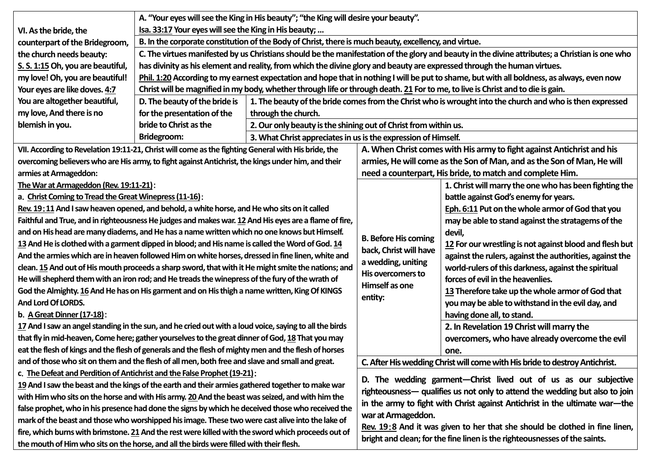|                                                                                                     | A. "Your eyes will see the King in His beauty"; "the King will desire your beauty".                                                             |                                                                                                           |                                                                |  |
|-----------------------------------------------------------------------------------------------------|-------------------------------------------------------------------------------------------------------------------------------------------------|-----------------------------------------------------------------------------------------------------------|----------------------------------------------------------------|--|
| VI. As the bride, the                                                                               | Isa. 33:17 Your eyes will see the King in His beauty;                                                                                           |                                                                                                           |                                                                |  |
| counterpart of the Bridegroom,                                                                      | B. In the corporate constitution of the Body of Christ, there is much beauty, excellency, and virtue.                                           |                                                                                                           |                                                                |  |
| the church needs beauty:                                                                            | C. The virtues manifested by us Christians should be the manifestation of the glory and beauty in the divine attributes; a Christian is one who |                                                                                                           |                                                                |  |
| S. S. 1:15 Oh, you are beautiful,                                                                   | has divinity as his element and reality, from which the divine glory and beauty are expressed through the human virtues.                        |                                                                                                           |                                                                |  |
| my love! Oh, you are beautiful!                                                                     | Phil. 1:20 According to my earnest expectation and hope that in nothing I will be put to shame, but with all boldness, as always, even now      |                                                                                                           |                                                                |  |
| Your eyes are like doves. 4:7                                                                       | Christ will be magnified in my body, whether through life or through death. 21 For to me, to live is Christ and to die is gain.                 |                                                                                                           |                                                                |  |
| You are altogether beautiful,                                                                       | D. The beauty of the bride is                                                                                                                   | 1. The beauty of the bride comes from the Christ who is wrought into the church and who is then expressed |                                                                |  |
| my love, And there is no                                                                            | for the presentation of the                                                                                                                     | through the church.                                                                                       |                                                                |  |
| blemish in you.                                                                                     | bride to Christ as the                                                                                                                          | 2. Our only beauty is the shining out of Christ from within us.                                           |                                                                |  |
|                                                                                                     | Bridegroom:                                                                                                                                     |                                                                                                           | 3. What Christ appreciates in us is the expression of Himself. |  |
| VII. According to Revelation 19:11-21, Christ will come as the fighting General with His bride, the |                                                                                                                                                 | A. When Christ comes with His army to fight against Antichrist and his                                    |                                                                |  |
| overcoming believers who are His army, to fight against Antichrist, the kings under him, and their  |                                                                                                                                                 | armies, He will come as the Son of Man, and as the Son of Man, He will                                    |                                                                |  |
| armies at Armageddon:                                                                               |                                                                                                                                                 | need a counterpart, His bride, to match and complete Him.                                                 |                                                                |  |

**The War at Armageddon (Rev. 19:11-21)**:

**a**.**Christ Coming to Tread the Great Winepress (11-16)**:

**Rev. 19**:**11And I saw heaven opened, and behold, a white horse, and He who sits on it called**  Faithful and True, and in righteousness He judges and makes war. 12 And His eyes are a flame of fire, **and on His head are many diadems, and He has a name written which no one knows but Himself. 13And He is clothed with a garment dipped in blood; and His name is called the Word of God. 14 And the armies which are in heaven followed Him on white horses, dressed in fine linen, white and clean. 15And out of His mouth proceeds a sharp sword, that with it He might smite the nations; and He will shepherd them with an iron rod; and He treads the winepress of the fury of the wrath of God the Almighty. 16And He has on His garment and on His thigh a name written, King Of KINGS And Lord Of LORDS.**

**b**.**A Great Dinner (17-18)**:

**17And I saw an angel standing in the sun, and he cried out with a loud voice, saying to all the birds that fly in mid-heaven, Come here; gather yourselves to the great dinner of God, 18 That you may eat the flesh of kings and the flesh of generals and the flesh of mighty men and the flesh of horses and of those who sit on them and the flesh of all men, both free and slave and small and great.**

**c**.**The Defeat and Perdition of Antichrist and the False Prophet (19-21)**:

**19And I saw the beast and the kings of the earth and their armies gathered together to make war with Him who sits on the horse and with His army. 20And the beast was seized, and with him the false prophet, who in his presence had done the signs by which he deceived those who received the mark of the beast and those who worshipped his image. These two were cast alive into the lake of fire, which burns with brimstone. 21And the rest were killed with the sword which proceeds out of the mouth of Him who sits on the horse, and all the birds were filled with their flesh.**

|                                                                                                                               | A. When Christ comes with His army to fight against Antichrist and his                                                                                                                                                                                                                                                                                                                                                                                                                                                                                                                                                                                                                |  |  |  |
|-------------------------------------------------------------------------------------------------------------------------------|---------------------------------------------------------------------------------------------------------------------------------------------------------------------------------------------------------------------------------------------------------------------------------------------------------------------------------------------------------------------------------------------------------------------------------------------------------------------------------------------------------------------------------------------------------------------------------------------------------------------------------------------------------------------------------------|--|--|--|
| armies, He will come as the Son of Man, and as the Son of Man, He will                                                        |                                                                                                                                                                                                                                                                                                                                                                                                                                                                                                                                                                                                                                                                                       |  |  |  |
| need a counterpart, His bride, to match and complete Him.                                                                     |                                                                                                                                                                                                                                                                                                                                                                                                                                                                                                                                                                                                                                                                                       |  |  |  |
| <b>B. Before His coming</b><br>back, Christ will have<br>a wedding, uniting<br>His overcomers to<br>Himself as one<br>entity: | 1. Christ will marry the one who has been fighting the<br>battle against God's enemy for years.<br>Eph. 6:11 Put on the whole armor of God that you<br>may be able to stand against the stratagems of the<br>devil,<br>12 For our wrestling is not against blood and flesh but<br>against the rulers, against the authorities, against the<br>world-rulers of this darkness, against the spiritual<br>forces of evil in the heavenlies.<br>13 Therefore take up the whole armor of God that<br>you may be able to withstand in the evil day, and<br>having done all, to stand.<br>2. In Revelation 19 Christ will marry the<br>overcomers, who have already overcome the evil<br>one. |  |  |  |

**C. After His wedding Christ will come with His bride to destroy Antichrist.**

**D. The wedding garment—Christ lived out of us as our subjective righteousness— qualifies us not only to attend the wedding but also to join in the army to fight with Christ against Antichrist in the ultimate war—the war at Armageddon.**

**Rev. 19**:**8 And it was given to her that she should be clothed in fine linen, bright and clean; for the fine linen is the righteousnesses of the saints.**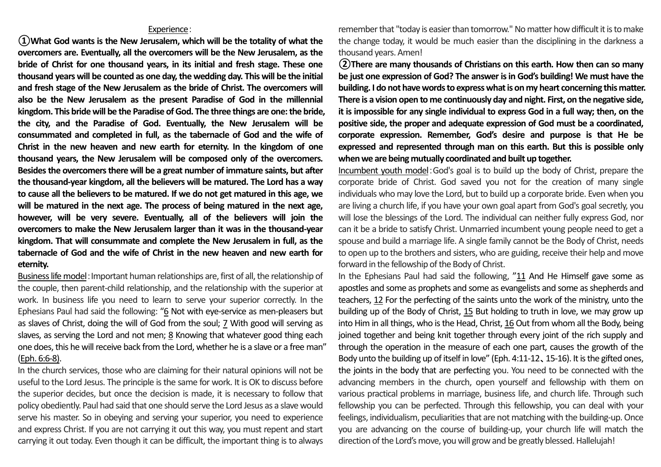## Experience:

**①What God wants is the New Jerusalem, which will be the totality of what the overcomers are. Eventually, all the overcomers will be the New Jerusalem, as the bride of Christ for one thousand years, in its initial and fresh stage. These one thousand years will be counted as one day, the wedding day. This will be the initial and fresh stage of the New Jerusalem as the bride of Christ. The overcomers will also be the New Jerusalem as the present Paradise of God in the millennial kingdom. This bride will be the Paradise of God. The three things are one: the bride, the city, and the Paradise of God. Eventually, the New Jerusalem will be consummated and completed in full, as the tabernacle of God and the wife of Christ in the new heaven and new earth for eternity. In the kingdom of one thousand years, the New Jerusalem will be composed only of the overcomers. Besides the overcomers there will be a great number of immature saints, but after the thousand-year kingdom, all the believers will be matured. The Lord has a way to cause all the believers to be matured. If we do not get matured in this age, we will be matured in the next age. The process of being matured in the next age, however, will be very severe. Eventually, all of the believers will join the overcomers to make the New Jerusalem larger than it was in the thousand-year kingdom. That will consummate and complete the New Jerusalem in full, as the tabernacle of God and the wife of Christ in the new heaven and new earth for eternity.**

Business life model: Important human relationships are, first of all, the relationship of the couple, then parent-child relationship, and the relationship with the superior at work. In business life you need to learn to serve your superior correctly. In the Ephesians Paul had said the following: "6 Not with eye-service as men-pleasers but as slaves of Christ, doing the will of God from the soul; 7 With good will serving as slaves, as serving the Lord and not men; 8 Knowing that whatever good thing each one does, this he will receive back from the Lord, whether he is a slave or a free man" (Eph. 6:6-8).

In the church services, those who are claiming for their natural opinions will not be useful to the Lord Jesus. The principle is the same for work. It is OK to discuss before the superior decides, but once the decision is made, it is necessary to follow that policy obediently. Paul had said that one should serve the Lord Jesus as a slave would serve his master. So in obeying and serving your superior, you need to experience and express Christ. If you are not carrying it out this way, you must repent and start carrying it out today. Even though it can be difficult, the important thing is to always rememberthat "today is easier than tomorrow." No matter how difficult it is to make the change today, it would be much easier than the disciplining in the darkness a thousand years. Amen!

**②There are many thousands of Christians on this earth. How then can so many be just one expression of God? The answer is in God's building! We must have the building. I do not have words to express what is on my heart concerning this matter. There is a vision open to me continuously day and night. First, on the negative side, it is impossible for any single individual to express God in a full way; then, on the positive side, the proper and adequate expression of God must be a coordinated, corporate expression. Remember, God's desire and purpose is that He be expressed and represented through man on this earth. But this is possible only when we are being mutually coordinated and built up together.** 

Incumbent youth model:God's goal is to build up the body of Christ, prepare the corporate bride of Christ. God saved you not for the creation of many single individuals who may love the Lord, but to build up a corporate bride. Even when you are living a church life, if you have your own goal apart from God's goal secretly, you will lose the blessings of the Lord. The individual can neither fully express God, nor can it be a bride to satisfy Christ. Unmarried incumbent young people need to get a spouse and build a marriage life. A single family cannot be the Body of Christ, needs to open up to the brothers and sisters, who are guiding, receive their help and move forward in the fellowship of the Body of Christ.

In the Ephesians Paul had said the following, "11 And He Himself gave some as apostles and some as prophets and some as evangelists and some as shepherds and teachers, 12 For the perfecting of the saints unto the work of the ministry, unto the building up of the Body of Christ, 15 But holding to truth in love, we may grow up into Him in all things, who is the Head, Christ, 16 Out from whom all the Body, being joined together and being knit together through every joint of the rich supply and through the operation in the measure of each one part, causes the growth of the Body unto the building up of itself in love" (Eph. 4:11-12、15-16). It is the gifted ones, the joints in the body that are perfecting you. You need to be connected with the advancing members in the church, open yourself and fellowship with them on various practical problems in marriage, business life, and church life. Through such fellowship you can be perfected. Through this fellowship, you can deal with your feelings, individualism, peculiarities that are not matching with the building-up. Once you are advancing on the course of building-up, your church life will match the direction of the Lord's move, you will grow and be greatly blessed. Hallelujah!